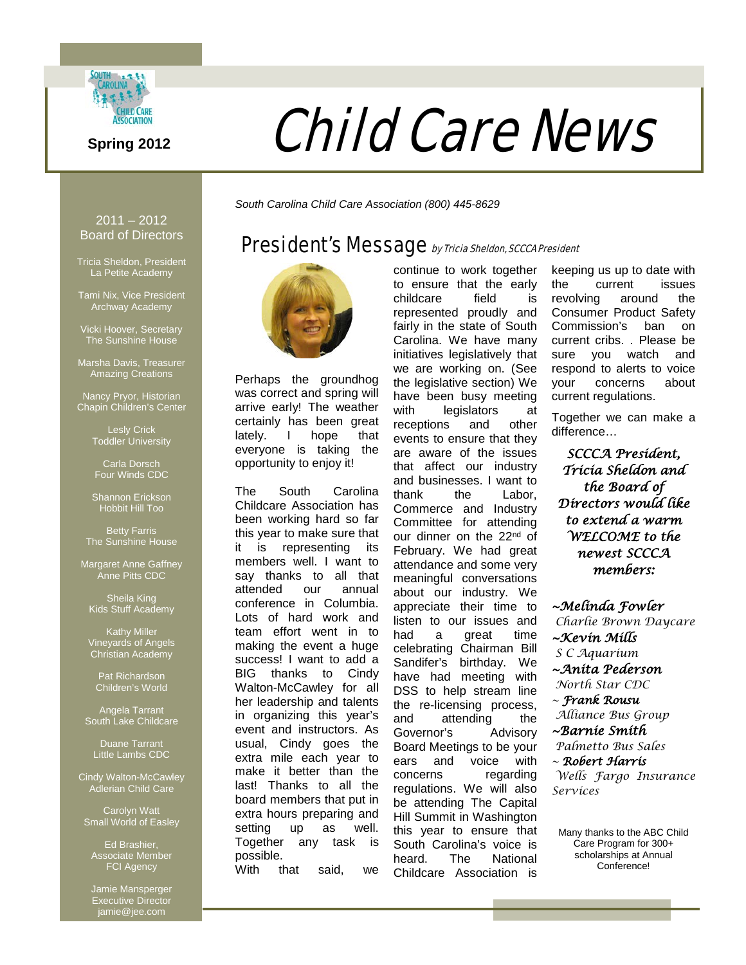

# **Spring 2012 Child Care News**

continue to work together to ensure that the early childcare field is represented proudly and fairly in the state of South Carolina. We have many initiatives legislatively that we are working on. (See the legislative section) We have been busy meeting with legislators at receptions and other events to ensure that they are aware of the issues that affect our industry and businesses. I want to thank the Labor, Commerce and Industry Committee for attending our dinner on the 22<sup>nd</sup> of February. We had great attendance and some very meaningful conversations about our industry. We appreciate their time to listen to our issues and

*South Carolina Child Care Association (800) 445-8629*

## President's Message by Tricia Sheldon, SCCCA President



Perhaps the groundhog was correct and spring will arrive early! The weather certainly has been great lately. I hope that everyone is taking the opportunity to enjoy it!

The South Carolina Childcare Association has been working hard so far this year to make sure that it is representing its members well. I want to say thanks to all that attended our annual conference in Columbia. Lots of hard work and team effort went in to making the event a huge success! I want to add a BIG thanks to Cindy Walton-McCawley for all her leadership and talents in organizing this year's event and instructors. As usual, Cindy goes the extra mile each year to make it better than the last! Thanks to all the board members that put in extra hours preparing and setting up as well. Together any task is possible. With that said, we

had a great time celebrating Chairman Bill Sandifer's birthday. We have had meeting with DSS to help stream line the re-licensing process, and attending the Governor's Advisory Board Meetings to be your ears and voice with concerns regarding regulations. We will also be attending The Capital Hill Summit in Washington this year to ensure that South Carolina's voice is heard. The National Childcare Association is

keeping us up to date with the current issues revolving around the Consumer Product Safety Commission's ban on current cribs. . Please be sure you watch and respond to alerts to voice your concerns about current regulations.

Together we can make a difference…

*SCCCA President, Tricia Sheldon and the Board of Directors would like to extend a warm WELCOME to the newest SCCCA members:* 

*~Melinda Fowler Charlie Brown Daycare ~Kevin Mills S C Aquarium ~Anita Pederson North Star CDC ~ Frank Rousu Alliance Bus Group ~Barnie Smith Palmetto Bus Sales ~ Robert Harris Wells Fargo Insurance Services*

Many thanks to the ABC Child Care Program for 300+ scholarships at Annual Conference!

2011 – 2012 Board of Directors

Tricia Sheldon, President La Petite Academy

Tami Nix, Vice President Archway Academy

Vicki Hoover, Secretary The Sunshine House

Marsha Davis, Treasurer Amazing Creations

Nancy Pryor, Historian Chapin Children's Center

> Lesly Crick Toddler University

Carla Dorsch Four Winds CDC

Shannon Erickson Hobbit Hill Too

Betty Farris The Sunshine House

Margaret Anne Gaffney Anne Pitts CDC

Sheila King Kids Stuff Academy

Kathy Miller Vineyards of Angels Christian Academy

Pat Richardson Children's World

Angela Tarrant South Lake Childcare

Duane Tarrant Little Lambs CDC

Cindy Walton-McCawley Adlerian Child Care

Carolyn Watt Small World of Easley

Ed Brashier, Associate Member FCI Agency

Jamie Mansperger Executive Director jamie@jee.com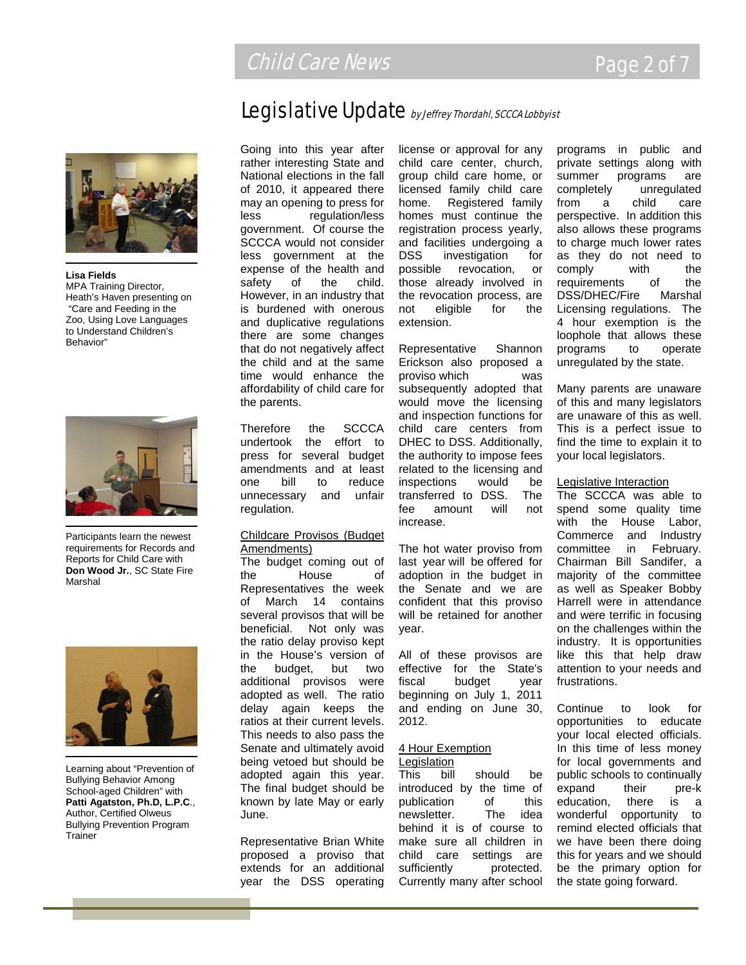# Legislative Update by Jeffrey Thordahl, SCCCA Lobbyist

**Lisa Fields** MPA Training Director, Heath's Haven presenting on "Care and Feeding in the Zoo, Using Love Languages to Understand Children's Behavior"



Participants learn the newest requirements for Records and Reports for Child Care with **Don Wood Jr.**, SC State Fire Marshal



Learning about "Prevention of Bullying Behavior Among School-aged Children" with **Patti Agatston, Ph.D, L.P.C**., Author, Certified Olweus Bullying Prevention Program **Trainer** 

Going into this year after rather interesting State and National elections in the fall of 2010, it appeared there may an opening to press for less regulation/less government. Of course the SCCCA would not consider less government at the expense of the health and safety of the child. However, in an industry that is burdened with onerous and duplicative regulations there are some changes that do not negatively affect the child and at the same time would enhance the affordability of child care for the parents.

Therefore the SCCCA undertook the effort to press for several budget amendments and at least one bill to reduce unnecessary and unfair regulation.

#### Childcare Provisos (Budget Amendments)

The budget coming out of the House of Representatives the week of March 14 contains several provisos that will be beneficial. Not only was the ratio delay proviso kept in the House's version of the budget, but two additional provisos were adopted as well. The ratio delay again keeps the ratios at their current levels. This needs to also pass the Senate and ultimately avoid being vetoed but should be adopted again this year. The final budget should be known by late May or early June.

Representative Brian White proposed a proviso that extends for an additional year the DSS operating

license or approval for any child care center, church, group child care home, or licensed family child care home. Registered family homes must continue the registration process yearly, and facilities undergoing a DSS investigation for possible revocation, or those already involved in the revocation process, are not eligible for the extension.

Representative Shannon Erickson also proposed a proviso which was subsequently adopted that would move the licensing and inspection functions for child care centers from DHEC to DSS. Additionally, the authority to impose fees related to the licensing and inspections would be transferred to DSS. The fee amount will not increase.

The hot water proviso from last year will be offered for adoption in the budget in the Senate and we are confident that this proviso will be retained for another year.

All of these provisos are effective for the State's fiscal budget year beginning on July 1, 2011 and ending on June 30, 2012.

#### 4 Hour Exemption

Legislation This bill should be introduced by the time of publication of this newsletter. The idea behind it is of course to make sure all children in child care settings are sufficiently protected. Currently many after school programs in public and private settings along with summer programs are completely unregulated from a child care perspective. In addition this also allows these programs to charge much lower rates as they do not need to comply with the requirements of the DSS/DHEC/Fire Marshal Licensing regulations. The 4 hour exemption is the loophole that allows these programs to operate unregulated by the state.

Many parents are unaware of this and many legislators are unaware of this as well. This is a perfect issue to find the time to explain it to your local legislators.

#### Legislative Interaction

The SCCCA was able to spend some quality time with the House Labor, Commerce and Industry committee in February. Chairman Bill Sandifer, a majority of the committee as well as Speaker Bobby Harrell were in attendance and were terrific in focusing on the challenges within the industry. It is opportunities like this that help draw attention to your needs and frustrations.

Continue to look for opportunities to educate your local elected officials. In this time of less money for local governments and public schools to continually expand their pre-k education, there is a wonderful opportunity to remind elected officials that we have been there doing this for years and we should be the primary option for the state going forward.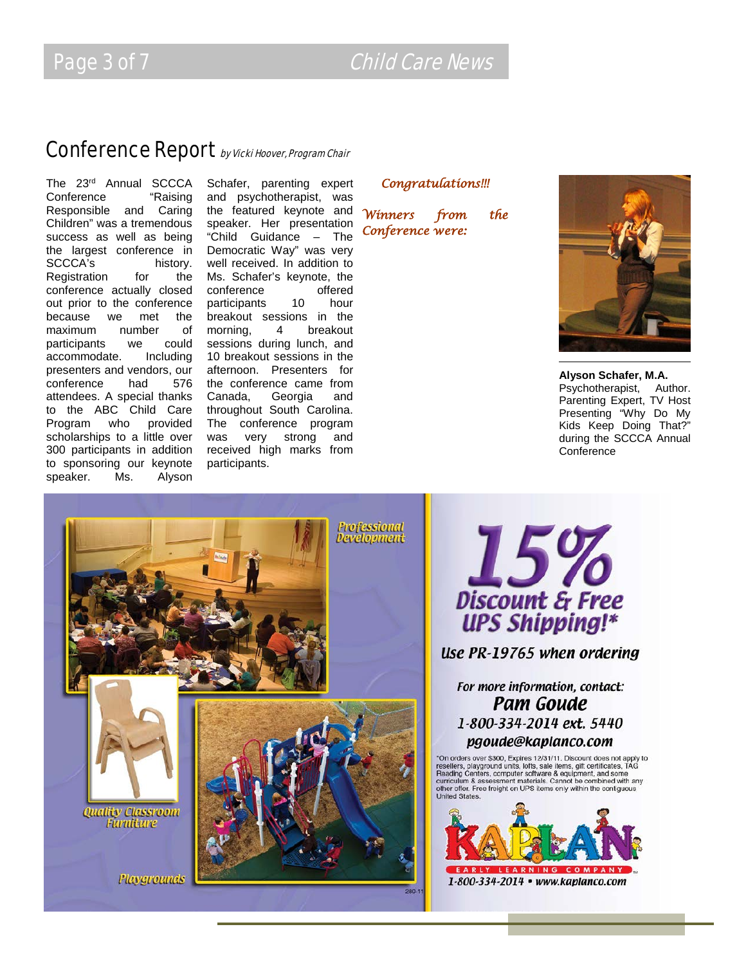Page 3 of 7 Child Care News

# Conference Report by Vicki Hoover, Program Chair

The 23rd Annual SCCCA Conference "Raising Responsible and Caring Children" was a tremendous success as well as being the largest conference in SCCCA's history. Registration for the conference actually closed out prior to the conference because we met the<br>maximum number of maximum number of participants we could<br>accommodate. Including accommodate. presenters and vendors, our conference had 576 attendees. A special thanks to the ABC Child Care Program who provided scholarships to a little over 300 participants in addition to sponsoring our keynote speaker. Ms. Alyson

Schafer, parenting expert and psychotherapist, was the featured keynote and speaker. Her presentation "Child Guidance – The Democratic Way" was very well received. In addition to Ms. Schafer's keynote, the conference offered participants 10 hour breakout sessions in the<br>morning, 4 breakout morning, sessions during lunch, and 10 breakout sessions in the afternoon. Presenters for the conference came from Canada, Georgia and throughout South Carolina. The conference program was very strong and received high marks from participants.

#### *Congratulations!!!*

*Winners from the Conference were:* 



**Alyson Schafer, M.A.** Psychotherapist, Author. Parenting Expert, TV Host Presenting "Why Do My Kids Keep Doing That?" during the SCCCA Annual **Conference** 



15% Discount & Free<br>UPS Shipping!\*

### Use PR-19765 when ordering

For more information, contact: **Pam Goude** 1-800-334-2014 ext. 5440 pgoude@kaplanco.com

"On orders over \$300, Expires 12/31/11. Discount does not apply to resellers, playground units, lotts, sale items, gift certificates, TAG Reading Centers, computer software & equipment, and some curriculum & assessment mat **United States** 

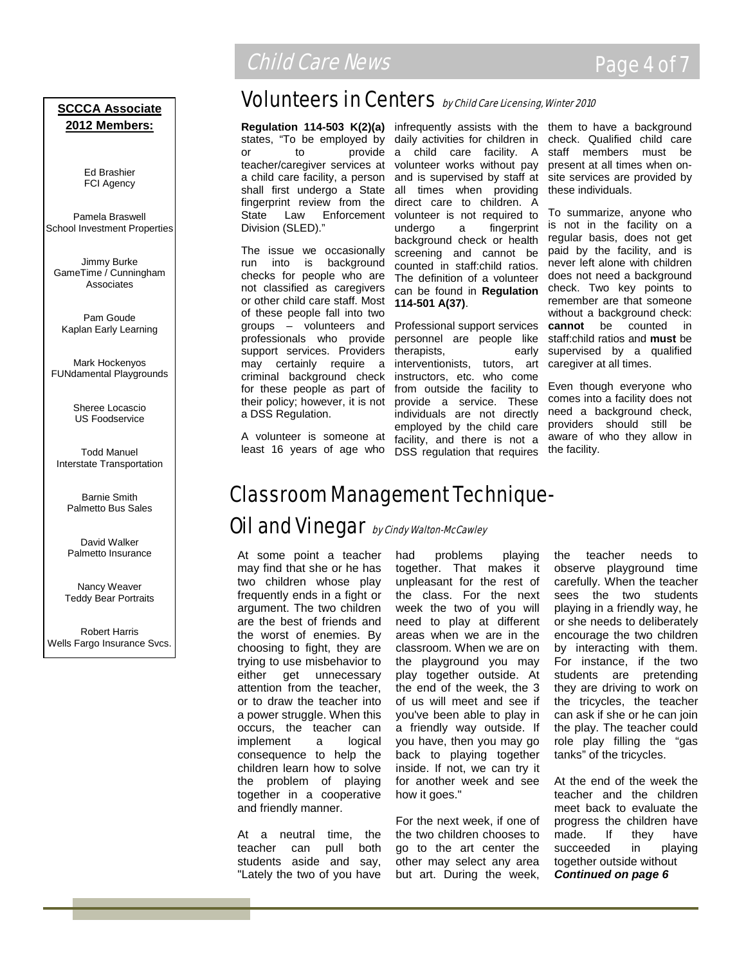#### **SCCCA Associate 2012 Members:**

Ed Brashier FCI Agency

Pamela Braswell School Investment Properties

Jimmy Burke GameTime / Cunningham **Associates** 

Pam Goude Kaplan Early Learning

Mark Hockenyos FUNdamental Playgrounds

> Sheree Locascio US Foodservice

Todd Manuel Interstate Transportation

> Barnie Smith Palmetto Bus Sales

David Walker Palmetto Insurance

Nancy Weaver Teddy Bear Portraits

Robert Harris Wells Fargo Insurance Svcs.

# **Child Care News Page 4 of 7**

# Volunteers in Centers by Child Care Licensing, Winter 2010

teacher/caregiver services at volunteer works without pay a child care facility, a person shall first undergo a State all times when providing fingerprint review from the direct care to children. A State Law Enforcement Division (SLED)."

The issue we occasionally run into is background checks for people who are not classified as caregivers or other child care staff. Most of these people fall into two groups – volunteers and professionals who provide support services. Providers may certainly require a criminal background check for these people as part of their policy; however, it is not a DSS Regulation.

A volunteer is someone at least 16 years of age who

**Regulation 114-503 K(2)(a)** infrequently assists with the them to have a background states, "To be employed by daily activities for children in check. Qualified child care or to provide a child care facility. A staff members must be and is supervised by staff at volunteer is not required to undergo a fingerprint background check or health screening and cannot be counted in staff:child ratios. The definition of a volunteer can be found in **Regulation 114-501 A(37)**.

> Professional support services **cannot** be counted in personnel are people like therapists, early interventionists, tutors, art instructors, etc. who come from outside the facility to provide a service. These individuals are not directly employed by the child care facility, and there is not a DSS regulation that requires

present at all times when onsite services are provided by these individuals.

To summarize, anyone who is not in the facility on a regular basis, does not get paid by the facility, and is never left alone with children does not need a background check. Two key points to remember are that someone without a background check: staff:child ratios and **must** be supervised by a qualified caregiver at all times.

Even though everyone who comes into a facility does not need a background check, providers should still be aware of who they allow in the facility.

# Classroom Management Technique-

## Oil and Vinegar by Cindy Walton-McCawley

At some point a teacher may find that she or he has two children whose play frequently ends in a fight or argument. The two children are the best of friends and the worst of enemies. By choosing to fight, they are trying to use misbehavior to either get unnecessary attention from the teacher, or to draw the teacher into a power struggle. When this occurs, the teacher can implement a logical consequence to help the children learn how to solve the problem of playing together in a cooperative and friendly manner.

At a neutral time, the teacher can pull both students aside and say, "Lately the two of you have

had problems playing together. That makes it unpleasant for the rest of the class. For the next week the two of you will need to play at different areas when we are in the classroom. When we are on the playground you may play together outside. At the end of the week, the 3 of us will meet and see if you've been able to play in a friendly way outside. If you have, then you may go back to playing together inside. If not, we can try it for another week and see how it goes."

For the next week, if one of the two children chooses to go to the art center the other may select any area but art. During the week, the teacher needs to observe playground time carefully. When the teacher sees the two students playing in a friendly way, he or she needs to deliberately encourage the two children by interacting with them. For instance, if the two students are pretending they are driving to work on the tricycles, the teacher can ask if she or he can join the play. The teacher could role play filling the "gas tanks" of the tricycles.

At the end of the week the teacher and the children meet back to evaluate the progress the children have made. If they have succeeded in playing together outside without *Continued on page 6*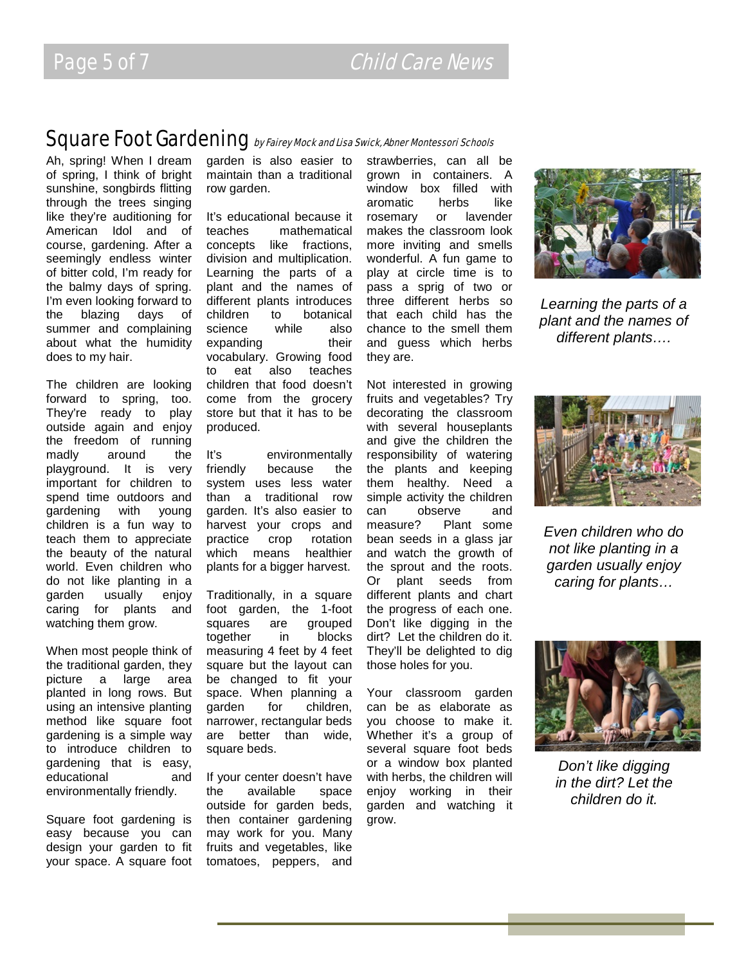### Square Foot Gardening by Fairey Mock and Lisa Swick, Abner Montessori Schools

Ah, spring! When I dream of spring, I think of bright sunshine, songbirds flitting through the trees singing like they're auditioning for American Idol and of course, gardening. After a seemingly endless winter of bitter cold, I'm ready for the balmy days of spring. I'm even looking forward to the blazing days of summer and complaining about what the humidity does to my hair.

The children are looking forward to spring, too. They're ready to play outside again and enjoy the freedom of running madly around the playground. It is very important for children to spend time outdoors and gardening with young children is a fun way to teach them to appreciate the beauty of the natural world. Even children who do not like planting in a garden usually enjoy caring for plants and watching them grow.

When most people think of the traditional garden, they picture a large area planted in long rows. But using an intensive planting method like square foot gardening is a simple way to introduce children to gardening that is easy, educational and environmentally friendly.

Square foot gardening is easy because you can design your garden to fit your space. A square foot garden is also easier to maintain than a traditional row garden.

It's educational because it teaches mathematical concepts like fractions, division and multiplication. Learning the parts of a plant and the names of different plants introduces children to botanical<br>science while also science while also expanding their vocabulary. Growing food to eat also teaches children that food doesn't come from the grocery store but that it has to be produced.

It's environmentally friendly because the system uses less water than a traditional row garden. It's also easier to harvest your crops and practice crop rotation which means healthier plants for a bigger harvest.

Traditionally, in a square foot garden, the 1-foot squares are grouped together in blocks measuring 4 feet by 4 feet square but the layout can be changed to fit your space. When planning a garden for children, narrower, rectangular beds are better than wide, square beds.

If your center doesn't have the available space outside for garden beds, then container gardening may work for you. Many fruits and vegetables, like tomatoes, peppers, and

strawberries, can all be grown in containers. A window box filled with aromatic herbs like rosemary or lavender makes the classroom look more inviting and smells wonderful. A fun game to play at circle time is to pass a sprig of two or three different herbs so that each child has the chance to the smell them and guess which herbs they are.

Not interested in growing fruits and vegetables? Try decorating the classroom with several houseplants and give the children the responsibility of watering the plants and keeping them healthy. Need a simple activity the children can observe and measure? Plant some bean seeds in a glass jar and watch the growth of the sprout and the roots. Or plant seeds from different plants and chart the progress of each one. Don't like digging in the dirt? Let the children do it. They'll be delighted to dig those holes for you.

Your classroom garden can be as elaborate as you choose to make it. Whether it's a group of several square foot beds or a window box planted with herbs, the children will enjoy working in their garden and watching it grow.



*Learning the parts of a plant and the names of different plants….*



*Even children who do not like planting in a garden usually enjoy caring for plants…*



*Don't like digging in the dirt? Let the children do it.*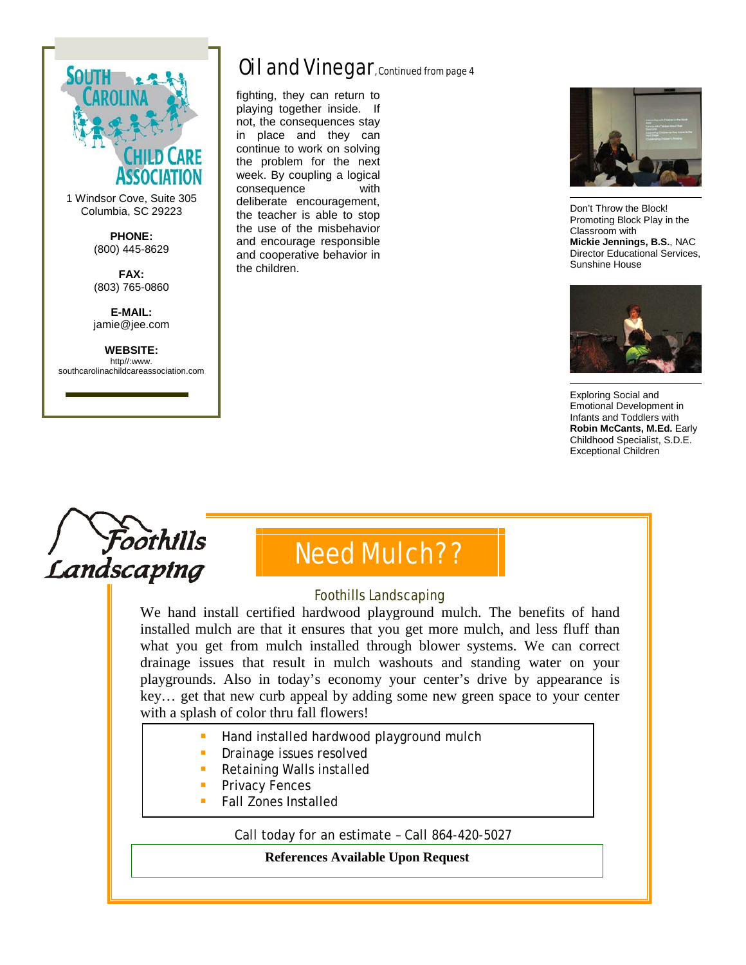

1 Windsor Cove, Suite 305 Columbia, SC 29223

> **PHONE:** (800) 445-8629

**FAX:** (803) 765-0860

**E-MAIL:** jamie@jee.com

**WEBSITE:** http//:www. southcarolinachildcareassociation.com

# Oil and Vinegar, Continued from page 4

fighting, they can return to playing together inside. If not, the consequences stay in place and they can continue to work on solving the problem for the next week. By coupling a logical consequence with deliberate encouragement, the teacher is able to stop the use of the misbehavior and encourage responsible and cooperative behavior in the children.



Don't Throw the Block! Promoting Block Play in the Classroom with **Mickie Jennings, B.S.**, NAC Director Educational Services, Sunshine House



Exploring Social and Emotional Development in Infants and Toddlers with **Robin McCants, M.Ed.** Early Childhood Specialist, S.D.E. Exceptional Children





#### Foothills Landscaping

We hand install certified hardwood playground mulch. The benefits of hand installed mulch are that it ensures that you get more mulch, and less fluff than what you get from mulch installed through blower systems. We can correct drainage issues that result in mulch washouts and standing water on your playgrounds. Also in today's economy your center's drive by appearance is key… get that new curb appeal by adding some new green space to your center with a splash of color thru fall flowers!

- Hand installed hardwood playground mulch
- Drainage issues resolved
- Retaining Walls installed
- Privacy Fences
- Fall Zones Installed

Call today for an estimate – Call 864-420-5027

**References Available Upon Request**